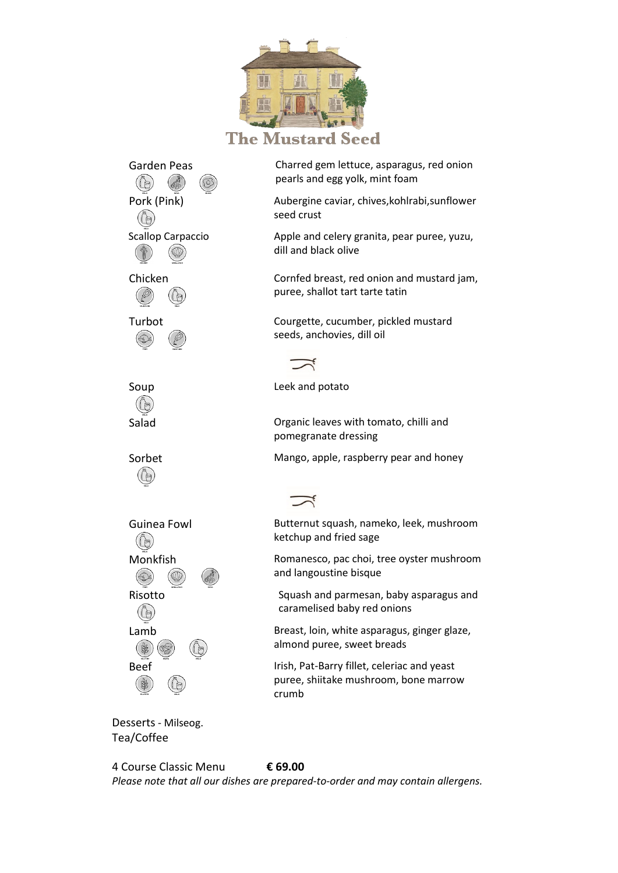

**The Mustard Seed** 

(@) ((b Scallop Carpaccio  $68$ Soup **Leek and potato**  $(\lvert \varepsilon \rvert)$ ((de)  $(\varepsilon)$ (E)  $\circledcirc$  $($ 

Garden Peas Charred gem lettuce, asparagus, red onion pearls and egg yolk, mint foam

Pork (Pink) **Aubergine caviar, chives, kohlrabi**, sunflower seed crust

> Apple and celery granita, pear puree, yuzu, dill and black olive

Chicken Cornfed breast, red onion and mustard jam, puree, shallot tart tarte tatin

Turbot Courgette, cucumber, pickled mustard seeds, anchovies, dill oil



Salad **Salad Commence Commence Commence Commence Commence Commence Commence Commence Commence Commence Commence Commence Commence Commence Commence Commence Commence Commence Commence Commence Commence Commence Commence** pomegranate dressing

Sorbet Mango, apple, raspberry pear and honey



Guinea Fowl Butternut squash, nameko, leek, mushroom ketchup and fried sage

Monkfish Romanesco, pac choi, tree oyster mushroom and langoustine bisque

Risotto Squash and parmesan, baby asparagus and Risotto caramelised baby red onions

Lamb Breast, loin, white asparagus, ginger glaze, almond puree, sweet breads

Beef Irish, Pat-Barry fillet, celeriac and yeast puree, shiitake mushroom, bone marrow crumb

Desserts - Milseog. Tea/Coffee

4 Course Classic Menu **€ 69.00**

*Please note that all our dishes are prepared-to-order and may contain allergens.*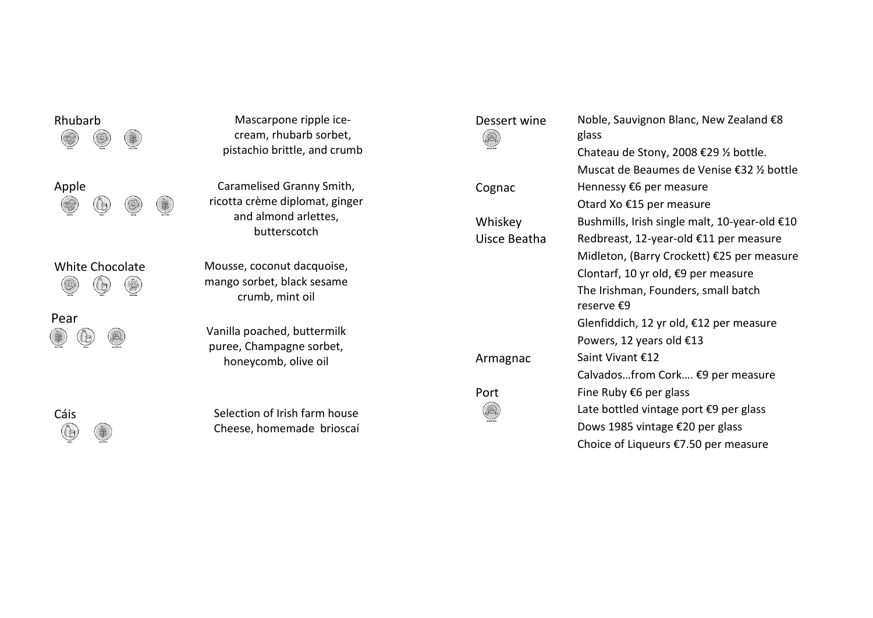| Rhubarb         | Mascarpone ripple ice-<br>cream, rhubarb sorbet,<br>pistachio brittle, and crumb                    |
|-----------------|-----------------------------------------------------------------------------------------------------|
| Apple           | Caramelised Granny Smith,<br>ricotta crème diplomat, ginger<br>and almond arlettes,<br>butterscotch |
| White Chocolate | Mousse, coconut dacquoise,<br>mango sorbet, black sesame<br>crumb, mint oil                         |
| Pear            | Vanilla poached, buttermilk<br>puree, Champagne sorbet,<br>honeycomb, olive oil                     |
|                 |                                                                                                     |

Cáis Selection of Irish farm house<br>
Cheese, homemade brioscaí Cheese, homemade brioscaí

| Dessert wine | Noble, Sauvignon Blanc, New Zealand €8<br>glass   |
|--------------|---------------------------------------------------|
|              | Chateau de Stony, 2008 €29 ½ bottle.              |
|              | Muscat de Beaumes de Venise €32 ½ bottle          |
| Cognac       | Hennessy €6 per measure                           |
|              | Otard Xo €15 per measure                          |
| Whiskey      | Bushmills, Irish single malt, 10-year-old €10     |
| Uisce Beatha | Redbreast, 12-year-old €11 per measure            |
|              | Midleton, (Barry Crockett) €25 per measure        |
|              | Clontarf, 10 yr old, €9 per measure               |
|              | The Irishman, Founders, small batch<br>reserve €9 |
|              | Glenfiddich, 12 yr old, €12 per measure           |
|              | Powers, 12 years old €13                          |
| Armagnac     | Saint Vivant €12                                  |
|              | Calvadosfrom Cork €9 per measure                  |
| Port         | Fine Ruby $€6$ per glass                          |
|              | Late bottled vintage port €9 per glass            |
|              | Dows 1985 vintage €20 per glass                   |
|              | Choice of Liqueurs €7.50 per measure              |
|              |                                                   |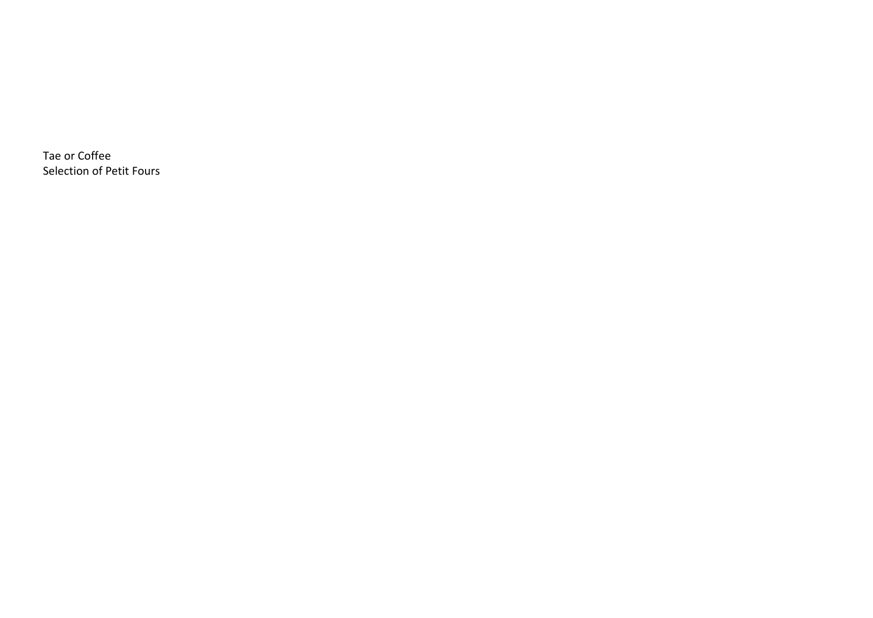Tae or Coffee Selection of Petit Fours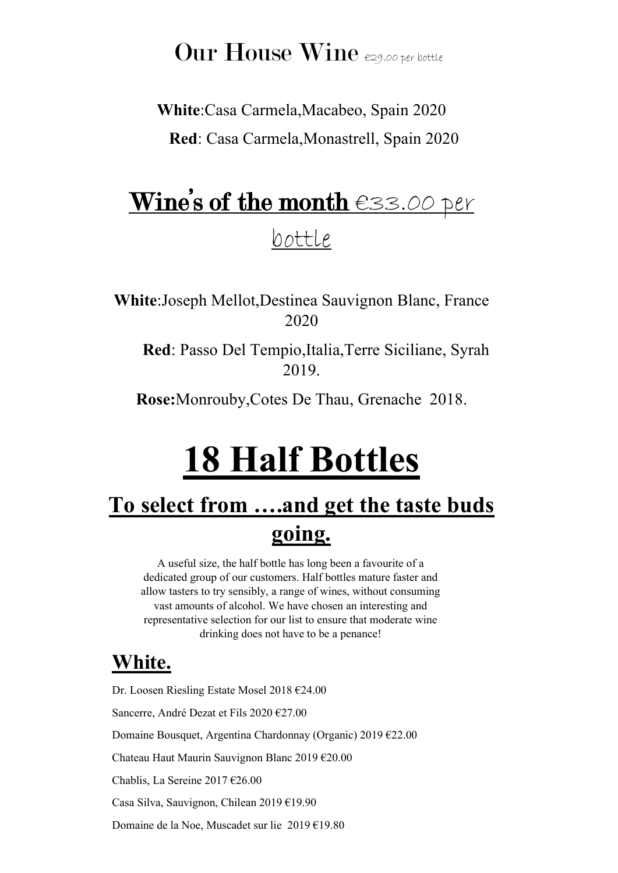## Our House Wine  $e_{29.00\text{ per bottle}}$

**White**:Casa Carmela,Macabeo, Spain 2020  **Red**: Casa Carmela,Monastrell, Spain 2020

# Wine's of the month €33.00 per bottle

**White**:Joseph Mellot,Destinea Sauvignon Blanc, France 2020

 **Red**: Passo Del Tempio,Italia,Terre Siciliane, Syrah 2019.

**Rose:**Monrouby,Cotes De Thau, Grenache 2018.

# **18 Half Bottles**

## **To select from ….and get the taste buds going.**

A useful size, the half bottle has long been a favourite of a dedicated group of our customers. Half bottles mature faster and allow tasters to try sensibly, a range of wines, without consuming vast amounts of alcohol. We have chosen an interesting and representative selection for our list to ensure that moderate wine drinking does not have to be a penance!

### **White.**

Dr. Loosen Riesling Estate Mosel 2018 €24.00 Sancerre, André Dezat et Fils 2020 €27.00 Domaine Bousquet, Argentina Chardonnay (Organic) 2019 €22.00 Chateau Haut Maurin Sauvignon Blanc 2019 €20.00 Chablis, La Sereine 2017 €26.00 Casa Silva, Sauvignon, Chilean 2019 €19.90 Domaine de la Noe, Muscadet sur lie 2019 €19.80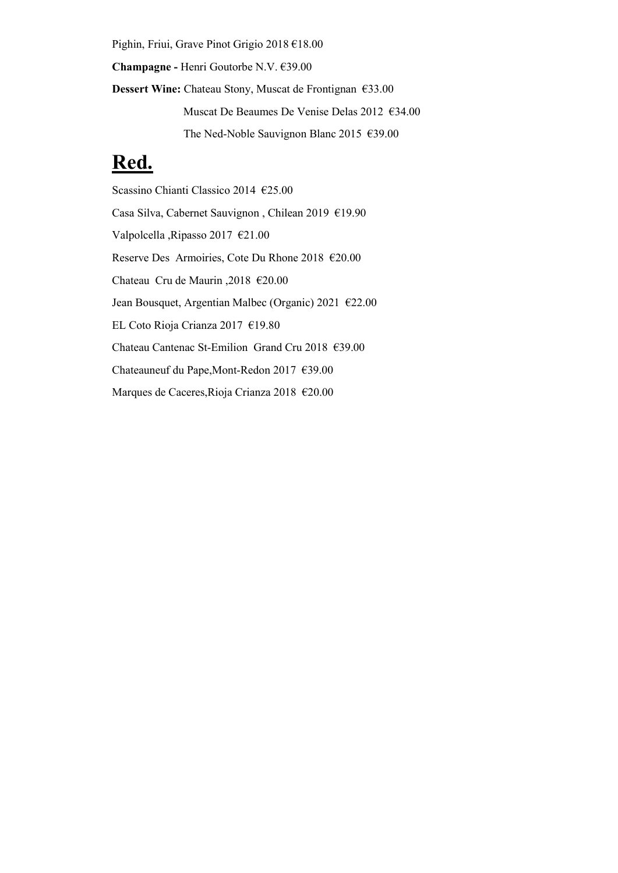Pighin, Friui, Grave Pinot Grigio 2018 €18.00 **Champagne -** Henri Goutorbe N.V. €39.00 **Dessert Wine:** Chateau Stony, Muscat de Frontignan €33.00 Muscat De Beaumes De Venise Delas 2012 €34.00 The Ned-Noble Sauvignon Blanc 2015 €39.00

#### **Red.**

Scassino Chianti Classico 2014 €25.00 Casa Silva, Cabernet Sauvignon , Chilean 2019 €19.90 Valpolcella ,Ripasso 2017 €21.00 Reserve Des Armoiries, Cote Du Rhone 2018 €20.00 Chateau Cru de Maurin ,2018 €20.00 Jean Bousquet, Argentian Malbec (Organic) 2021 €22.00 EL Coto Rioja Crianza 2017 €19.80 Chateau Cantenac St-Emilion Grand Cru 2018 €39.00 Chateauneuf du Pape,Mont-Redon 2017 €39.00 Marques de Caceres,Rioja Crianza 2018 €20.00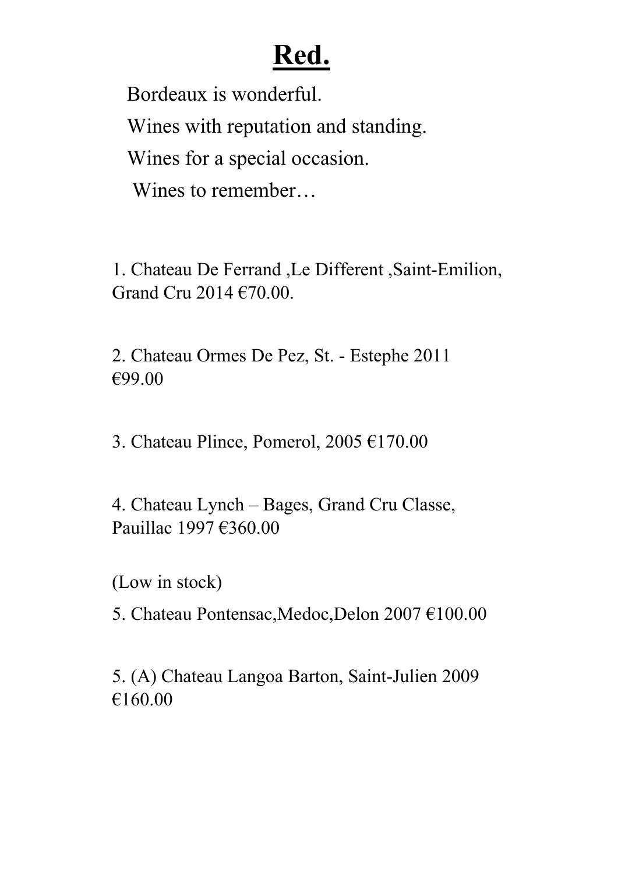# **Red.**

Bordeaux is wonderful. Wines with reputation and standing. Wines for a special occasion. Wines to remember…

1. Chateau De Ferrand ,Le Different ,Saint-Emilion, Grand Cru 2014 €70.00.

2. Chateau Ormes De Pez, St. - Estephe 2011 €99.00

3. Chateau Plince, Pomerol, 2005 €170.00

4. Chateau Lynch – Bages, Grand Cru Classe, Pauillac 1997 €360.00

(Low in stock)

5. Chateau Pontensac,Medoc,Delon 2007 €100.00

5. (A) Chateau Langoa Barton, Saint-Julien 2009 €160.00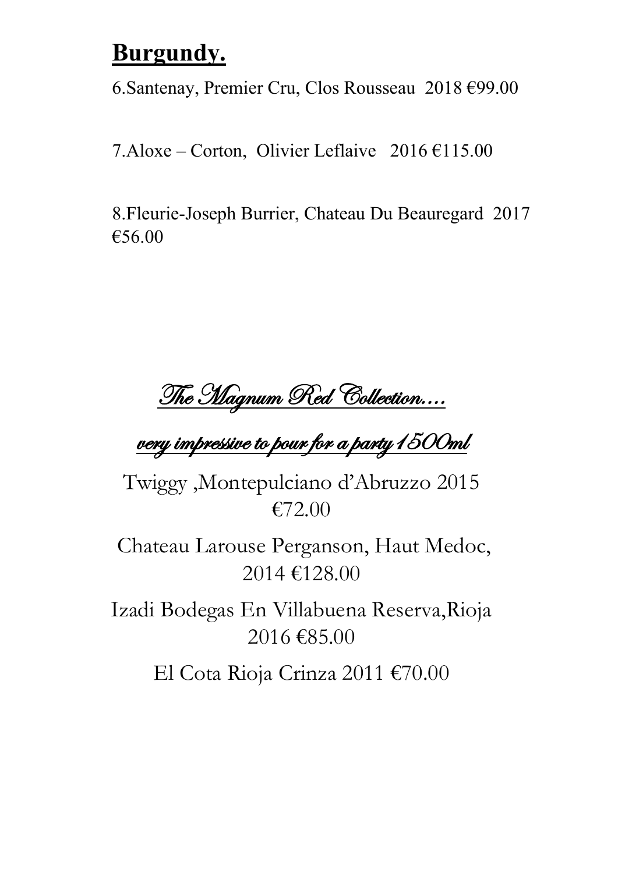## **Burgundy.**

6.Santenay, Premier Cru, Clos Rousseau 2018 €99.00

7.Aloxe – Corton, Olivier Leflaive  $2016 \text{ } \in 115.00$ 

8.Fleurie-Joseph Burrier, Chateau Du Beauregard 2017 €56.00

The Magnum Red Collection....

## very impressive to pour for a party1500ml

Twiggy ,Montepulciano d'Abruzzo 2015 €72.00

Chateau Larouse Perganson, Haut Medoc, 2014 €128.00

Izadi Bodegas En Villabuena Reserva,Rioja 2016 €85.00

El Cota Rioja Crinza 2011 €70.00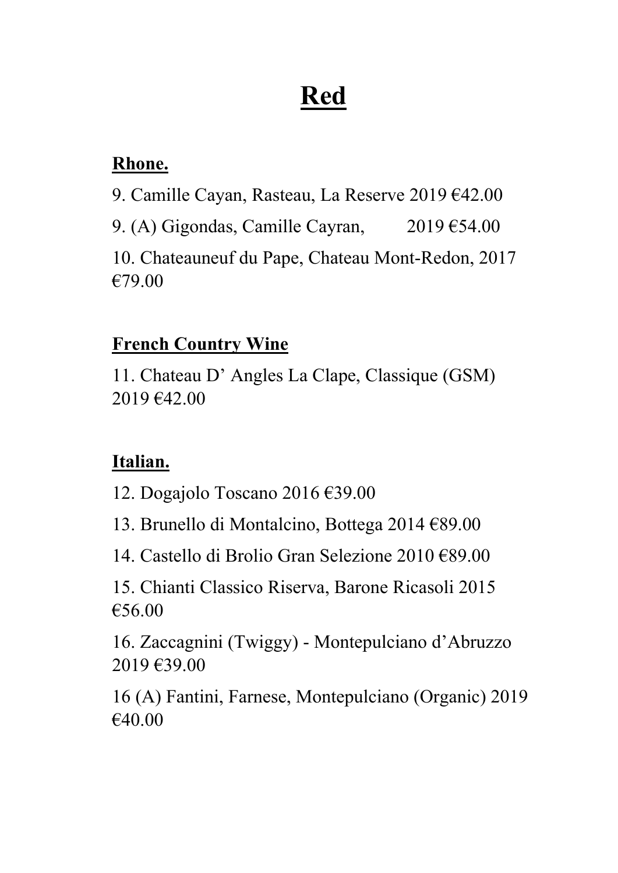# **Red**

#### **Rhone.**

9. Camille Cayan, Rasteau, La Reserve 2019 €42.00

9. (A) Gigondas, Camille Cayran,  $2019 \text{ } \text{\textsterling}54.00$ 

10. Chateauneuf du Pape, Chateau Mont-Redon, 2017 €79.00

#### **French Country Wine**

11. Chateau D' Angles La Clape, Classique (GSM) 2019 €42.00

#### **Italian.**

12. Dogajolo Toscano 2016 €39.00

13. Brunello di Montalcino, Bottega 2014 €89.00

14. Castello di Brolio Gran Selezione 2010 €89.00

15. Chianti Classico Riserva, Barone Ricasoli 2015 €56.00

16. Zaccagnini (Twiggy) - Montepulciano d'Abruzzo 2019 €39.00

16 (A) Fantini, Farnese, Montepulciano (Organic) 2019 €40.00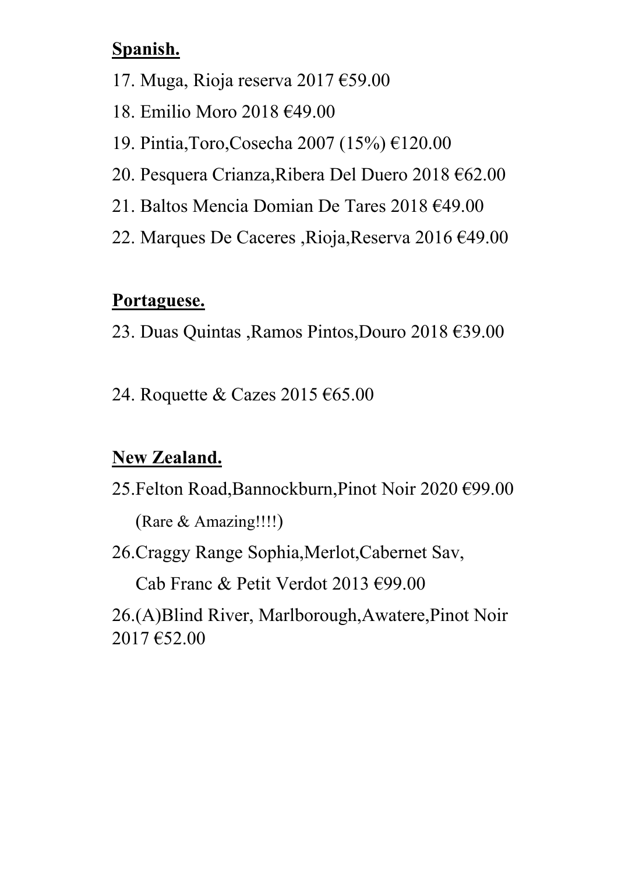#### **Spanish.**

- 17. Muga, Rioja reserva 2017 €59.00
- 18. Emilio Moro 2018 €49.00
- 19. Pintia,Toro,Cosecha 2007 (15%) €120.00
- 20. Pesquera Crianza,Ribera Del Duero 2018 €62.00
- 21. Baltos Mencia Domian De Tares 2018 €49.00
- 22. Marques De Caceres ,Rioja,Reserva 2016 €49.00

#### **Portaguese.**

- 23. Duas Quintas ,Ramos Pintos,Douro 2018 €39.00
- 24. Roquette & Cazes 2015 €65.00

#### **New Zealand.**

25.Felton Road,Bannockburn,Pinot Noir 2020 €99.00

(Rare & Amazing!!!!)

26.Craggy Range Sophia,Merlot,Cabernet Sav,

Cab Franc & Petit Verdot 2013 €99.00

26.(A)Blind River, Marlborough,Awatere,Pinot Noir 2017 €52.00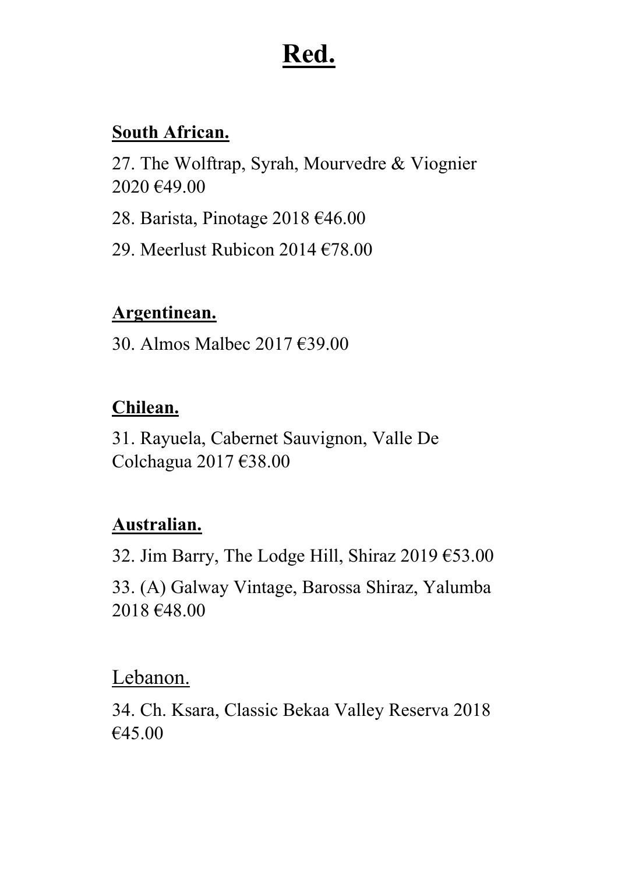# **Red.**

#### **South African.**

27. The Wolftrap, Syrah, Mourvedre & Viognier 2020 €49.00

28. Barista, Pinotage 2018 €46.00

29. Meerlust Rubicon 2014 €78.00

#### **Argentinean.**

30. Almos Malbec 2017 €39.00

#### **Chilean.**

31. Rayuela, Cabernet Sauvignon, Valle De Colchagua 2017 €38.00

#### **Australian.**

32. Jim Barry, The Lodge Hill, Shiraz 2019 €53.00 33. (A) Galway Vintage, Barossa Shiraz, Yalumba 2018 €48.00

#### Lebanon.

34. Ch. Ksara, Classic Bekaa Valley Reserva 2018 €45.00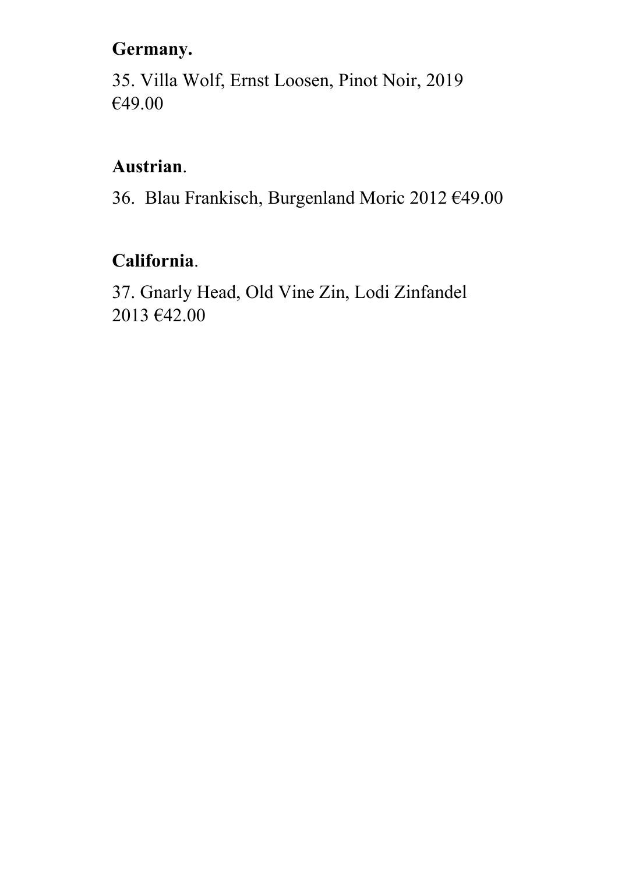#### **Germany.**

35. Villa Wolf, Ernst Loosen, Pinot Noir, 2019 €49.00

#### **Austrian**.

36. Blau Frankisch, Burgenland Moric 2012 €49.00

#### **California**.

37. Gnarly Head, Old Vine Zin, Lodi Zinfandel 2013 €42.00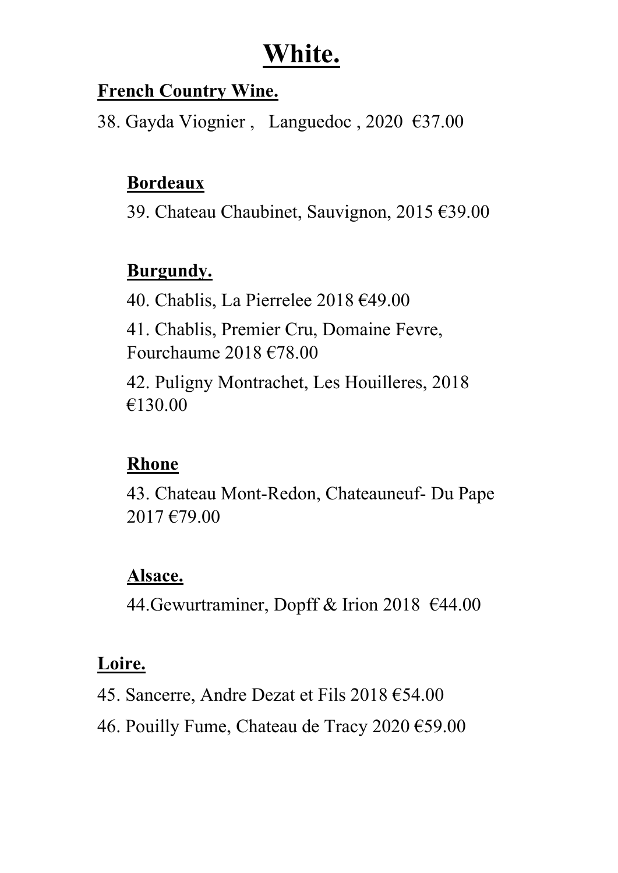## **White.**

#### **French Country Wine.**

38. Gayda Viognier , Languedoc , 2020 €37.00

#### **Bordeaux**

39. Chateau Chaubinet, Sauvignon, 2015 €39.00

#### **Burgundy.**

40. Chablis, La Pierrelee 2018 €49.00 41. Chablis, Premier Cru, Domaine Fevre, Fourchaume 2018 €78.00 42. Puligny Montrachet, Les Houilleres, 2018 €130.00

### **Rhone**

43. Chateau Mont-Redon, Chateauneuf- Du Pape 2017 €79.00

#### **Alsace.**

44.Gewurtraminer, Dopff & Irion 2018 €44.00

#### **Loire.**

- 45. Sancerre, Andre Dezat et Fils 2018 €54.00
- 46. Pouilly Fume, Chateau de Tracy 2020 €59.00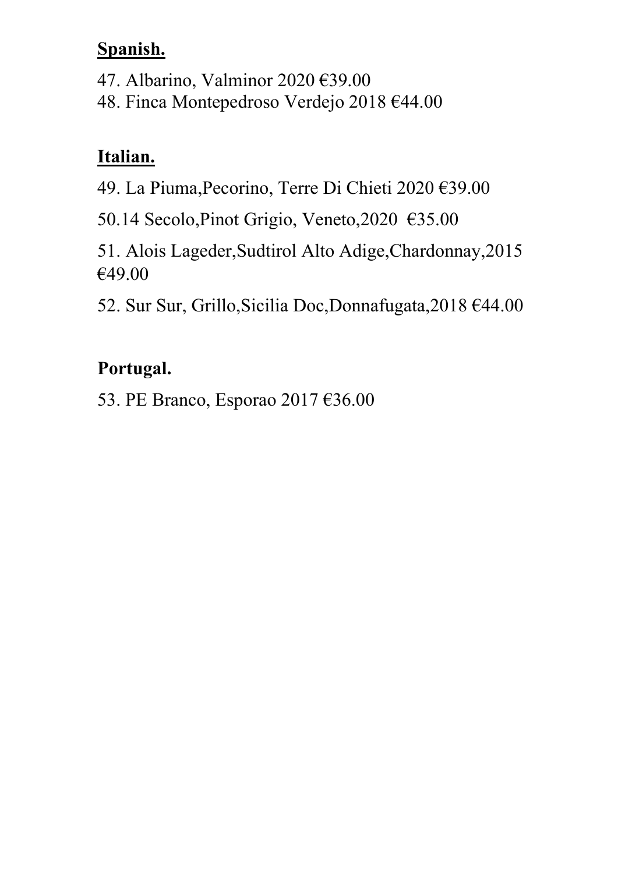#### **Spanish.**

47. Albarino, Valminor 2020 €39.00

48. Finca Montepedroso Verdejo 2018 €44.00

### **Italian.**

49. La Piuma,Pecorino, Terre Di Chieti 2020 €39.00

50.14 Secolo,Pinot Grigio, Veneto,2020 €35.00

51. Alois Lageder,Sudtirol Alto Adige,Chardonnay,2015 €49.00

52. Sur Sur, Grillo,Sicilia Doc,Donnafugata,2018 €44.00

## **Portugal.**

53. PE Branco, Esporao 2017 €36.00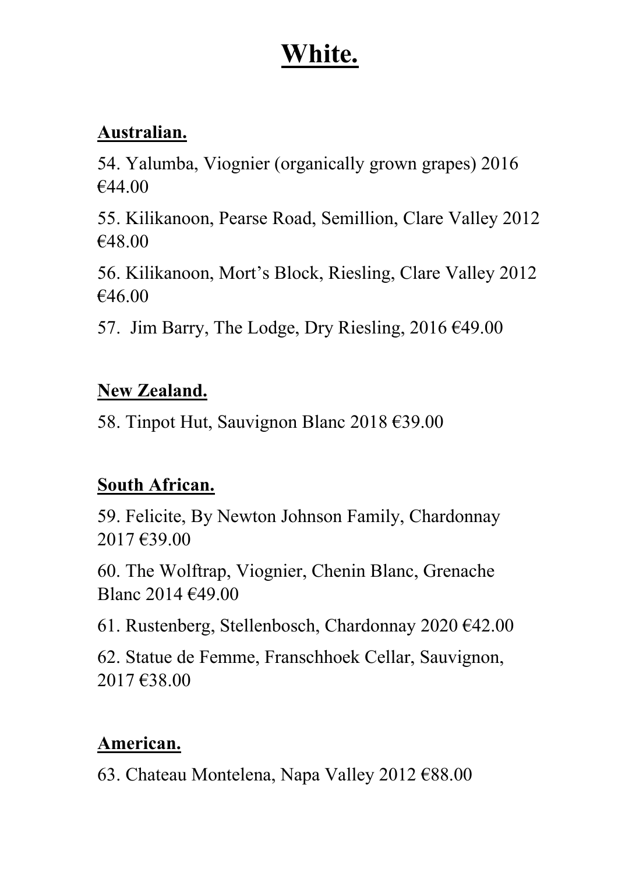## **White.**

#### **Australian.**

54. Yalumba, Viognier (organically grown grapes) 2016 €44.00

55. Kilikanoon, Pearse Road, Semillion, Clare Valley 2012 €48.00

56. Kilikanoon, Mort's Block, Riesling, Clare Valley 2012 €46.00

57. Jim Barry, The Lodge, Dry Riesling,  $2016 \, \text{E49.00}$ 

#### **New Zealand.**

58. Tinpot Hut, Sauvignon Blanc 2018 €39.00

#### **South African.**

59. Felicite, By Newton Johnson Family, Chardonnay 2017 €39.00

60. The Wolftrap, Viognier, Chenin Blanc, Grenache Blanc 2014 €49.00

61. Rustenberg, Stellenbosch, Chardonnay 2020 €42.00

62. Statue de Femme, Franschhoek Cellar, Sauvignon, 2017 €38.00

#### **American.**

63. Chateau Montelena, Napa Valley 2012 €88.00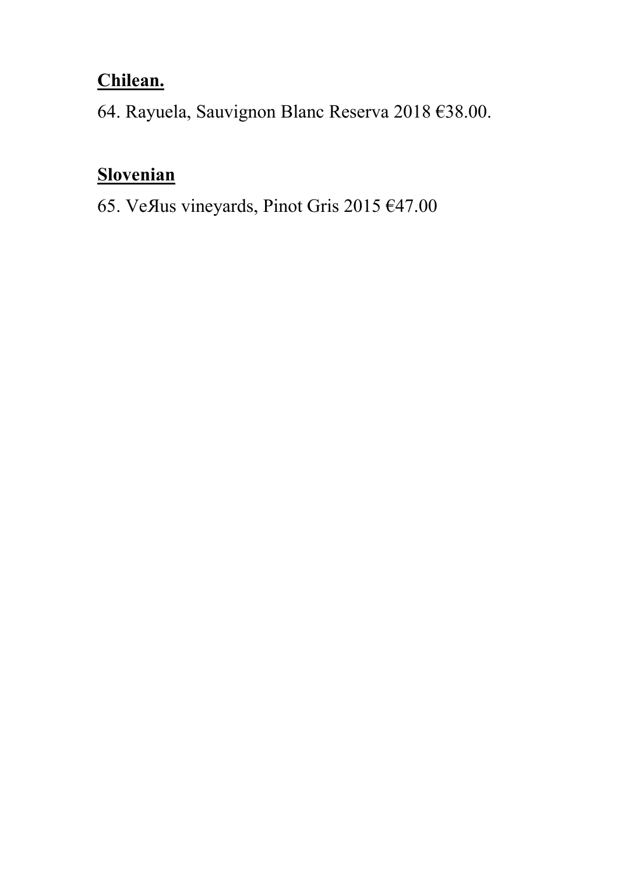#### **Chilean.**

64. Rayuela, Sauvignon Blanc Reserva 2018 €38.00.

#### **Slovenian**

65. VeЯus vineyards, Pinot Gris 2015 €47.00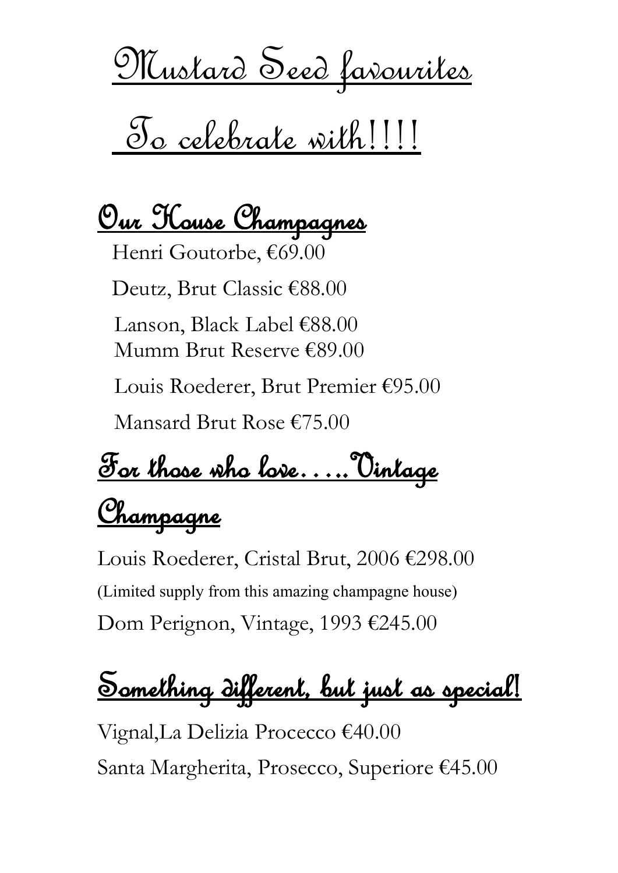<u>Mustard Seed favourites</u>

# To celebrate with!!!!

<u>Our Kouse Champagnes</u>

Henri Goutorbe, €69.00 Deutz, Brut Classic €88.00 Lanson, Black Label €88.00 Mumm Brut Reserve €89.00 Louis Roederer, Brut Premier €95.00 Mansard Brut Rose €75.00

For those who love…..Vintage

# Champagne

Louis Roederer, Cristal Brut, 2006 €298.00 (Limited supply from this amazing champagne house) Dom Perignon, Vintage, 1993 €245.00

Something different, but just as special!

Vignal,La Delizia Procecco €40.00 Santa Margherita, Prosecco, Superiore €45.00